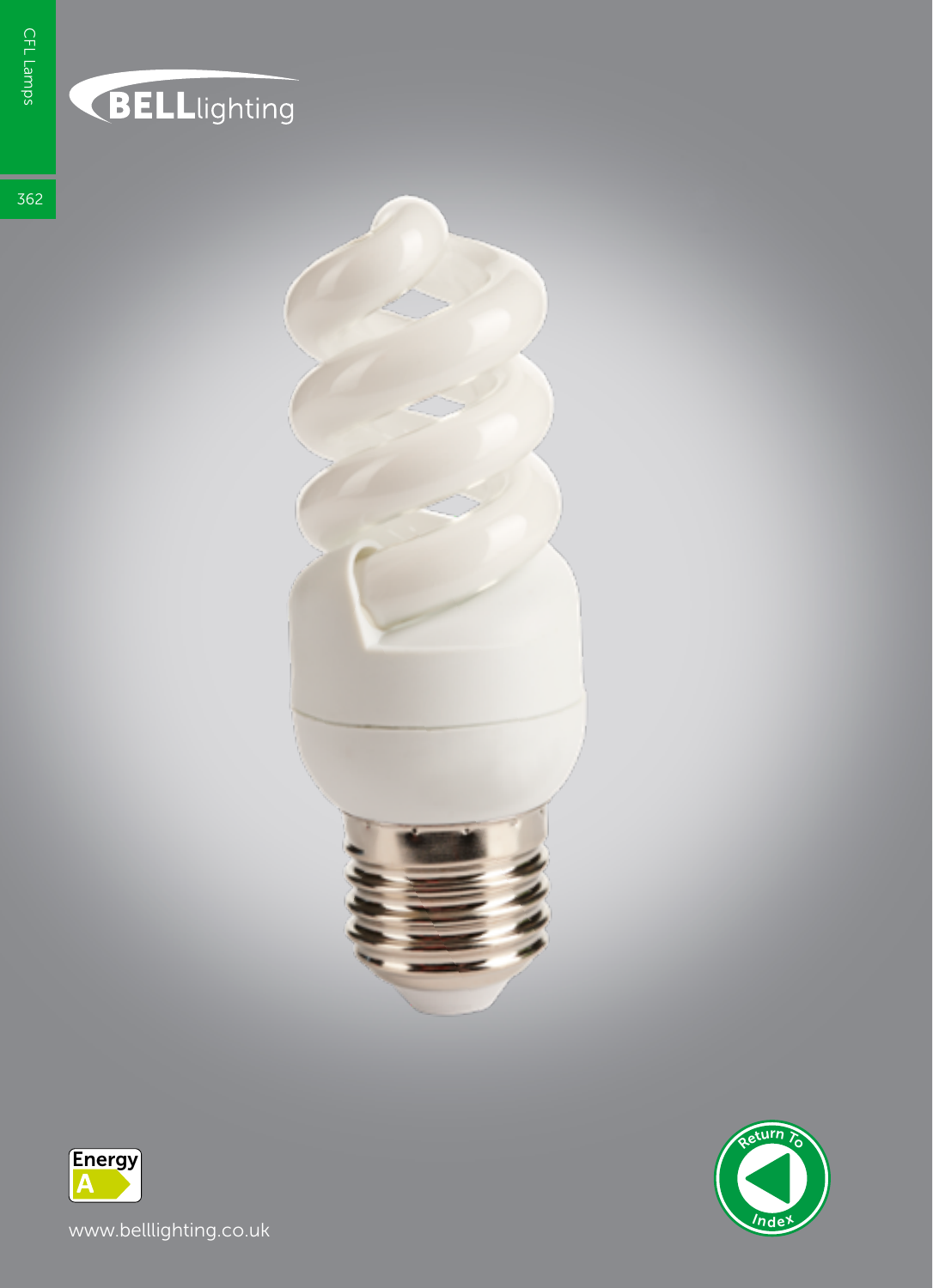## **BELL**lighting

362





www.belllighting.co.uk